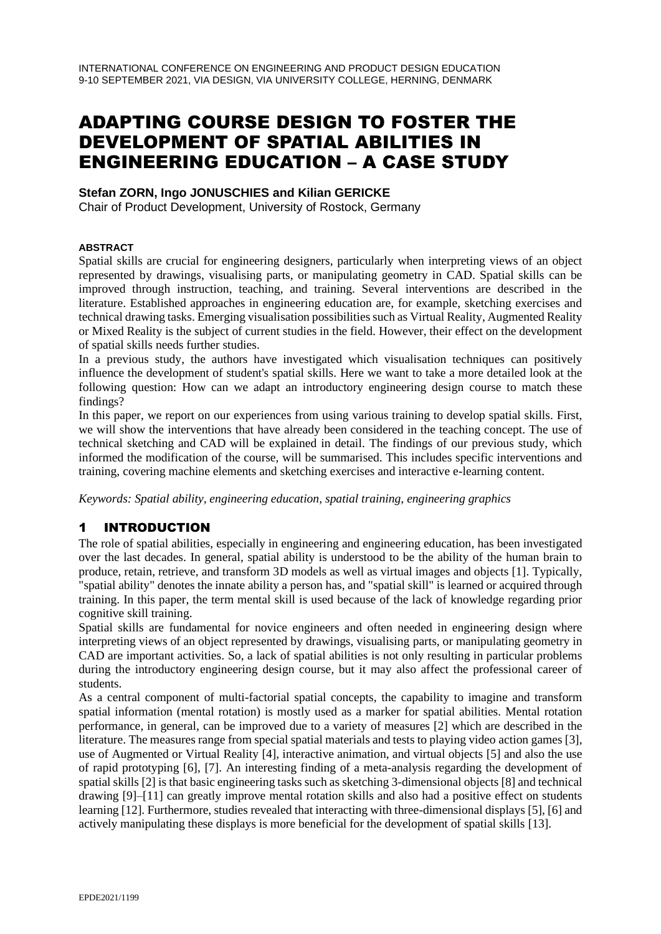# ADAPTING COURSE DESIGN TO FOSTER THE DEVELOPMENT OF SPATIAL ABILITIES IN ENGINEERING EDUCATION – A CASE STUDY

### **Stefan ZORN, Ingo JONUSCHIES and Kilian GERICKE**

Chair of Product Development, University of Rostock, Germany

#### **ABSTRACT**

Spatial skills are crucial for engineering designers, particularly when interpreting views of an object represented by drawings, visualising parts, or manipulating geometry in CAD. Spatial skills can be improved through instruction, teaching, and training. Several interventions are described in the literature. Established approaches in engineering education are, for example, sketching exercises and technical drawing tasks. Emerging visualisation possibilities such as Virtual Reality, Augmented Reality or Mixed Reality is the subject of current studies in the field. However, their effect on the development of spatial skills needs further studies.

In a previous study, the authors have investigated which visualisation techniques can positively influence the development of student's spatial skills. Here we want to take a more detailed look at the following question: How can we adapt an introductory engineering design course to match these findings?

In this paper, we report on our experiences from using various training to develop spatial skills. First, we will show the interventions that have already been considered in the teaching concept. The use of technical sketching and CAD will be explained in detail. The findings of our previous study, which informed the modification of the course, will be summarised. This includes specific interventions and training, covering machine elements and sketching exercises and interactive e-learning content.

*Keywords: Spatial ability, engineering education, spatial training, engineering graphics*

# 1 INTRODUCTION

The role of spatial abilities, especially in engineering and engineering education, has been investigated over the last decades. In general, spatial ability is understood to be the ability of the human brain to produce, retain, retrieve, and transform 3D models as well as virtual images and objects [1]. Typically, "spatial ability" denotes the innate ability a person has, and "spatial skill" is learned or acquired through training. In this paper, the term mental skill is used because of the lack of knowledge regarding prior cognitive skill training.

Spatial skills are fundamental for novice engineers and often needed in engineering design where interpreting views of an object represented by drawings, visualising parts, or manipulating geometry in CAD are important activities. So, a lack of spatial abilities is not only resulting in particular problems during the introductory engineering design course, but it may also affect the professional career of students.

As a central component of multi-factorial spatial concepts, the capability to imagine and transform spatial information (mental rotation) is mostly used as a marker for spatial abilities. Mental rotation performance, in general, can be improved due to a variety of measures [2] which are described in the literature. The measures range from special spatial materials and tests to playing video action games [3], use of Augmented or Virtual Reality [4], interactive animation, and virtual objects [5] and also the use of rapid prototyping [6], [7]. An interesting finding of a meta-analysis regarding the development of spatial skills [2] is that basic engineering tasks such as sketching 3-dimensional objects [8] and technical drawing [9]–[11] can greatly improve mental rotation skills and also had a positive effect on students learning [12]. Furthermore, studies revealed that interacting with three-dimensional displays [5], [6] and actively manipulating these displays is more beneficial for the development of spatial skills [13].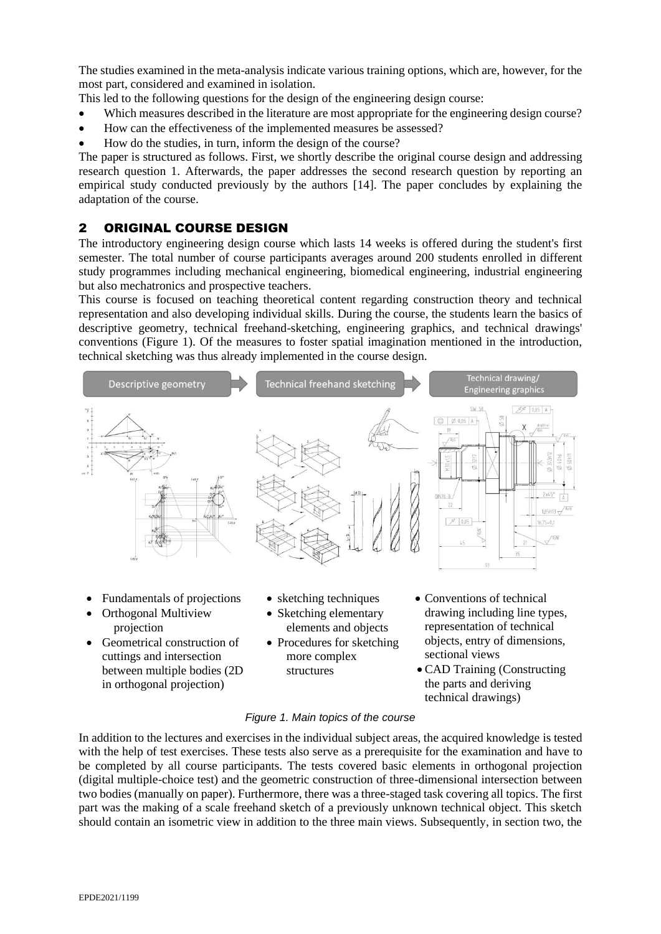The studies examined in the meta-analysis indicate various training options, which are, however, for the most part, considered and examined in isolation.

This led to the following questions for the design of the engineering design course:

- Which measures described in the literature are most appropriate for the engineering design course?
- How can the effectiveness of the implemented measures be assessed?
- How do the studies, in turn, inform the design of the course?

The paper is structured as follows. First, we shortly describe the original course design and addressing research question 1. Afterwards, the paper addresses the second research question by reporting an empirical study conducted previously by the authors [14]. The paper concludes by explaining the adaptation of the course.

### 2 ORIGINAL COURSE DESIGN

The introductory engineering design course which lasts 14 weeks is offered during the student's first semester. The total number of course participants averages around 200 students enrolled in different study programmes including mechanical engineering, biomedical engineering, industrial engineering but also mechatronics and prospective teachers.

This course is focused on teaching theoretical content regarding construction theory and technical representation and also developing individual skills. During the course, the students learn the basics of descriptive geometry, technical freehand-sketching, engineering graphics, and technical drawings' conventions [\(Figure 1\)](#page-1-0). Of the measures to foster spatial imagination mentioned in the introduction, technical sketching was thus already implemented in the course design.



- Orthogonal Multiview projection
- Geometrical construction of cuttings and intersection between multiple bodies (2D in orthogonal projection)
- Sketching elementary elements and objects
- Procedures for sketching more complex structures
- drawing including line types, representation of technical objects, entry of dimensions, sectional views
- CAD Training (Constructing the parts and deriving technical drawings)

#### *Figure 1. Main topics of the course*

<span id="page-1-0"></span>In addition to the lectures and exercises in the individual subject areas, the acquired knowledge is tested with the help of test exercises. These tests also serve as a prerequisite for the examination and have to be completed by all course participants. The tests covered basic elements in orthogonal projection (digital multiple-choice test) and the geometric construction of three-dimensional intersection between two bodies (manually on paper). Furthermore, there was a three-staged task covering all topics. The first part was the making of a scale freehand sketch of a previously unknown technical object. This sketch should contain an isometric view in addition to the three main views. Subsequently, in section two, the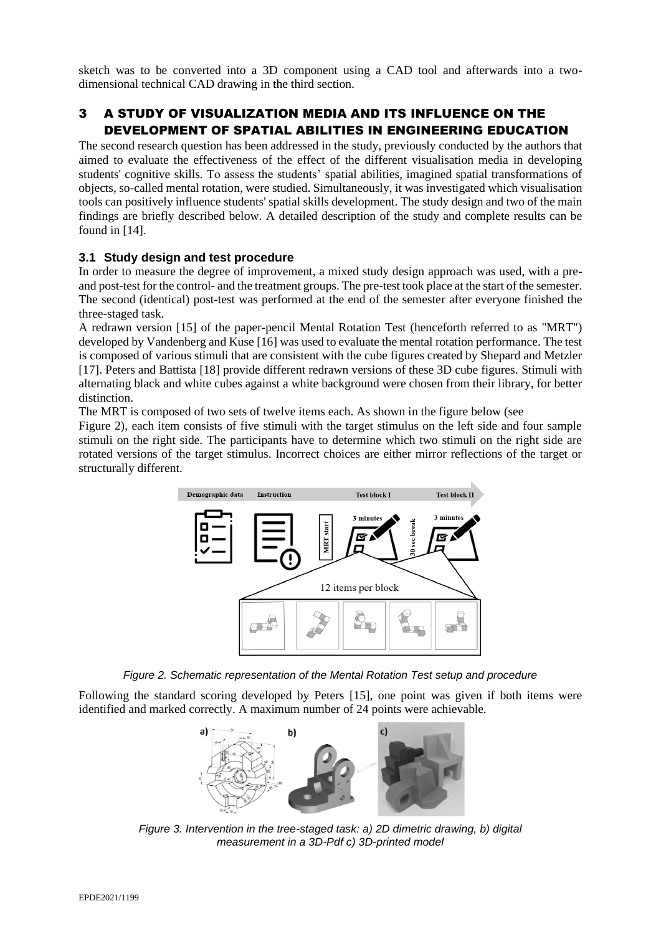sketch was to be converted into a 3D component using a CAD tool and afterwards into a twodimensional technical CAD drawing in the third section.

# 3 A STUDY OF VISUALIZATION MEDIA AND ITS INFLUENCE ON THE DEVELOPMENT OF SPATIAL ABILITIES IN ENGINEERING EDUCATION

The second research question has been addressed in the study, previously conducted by the authors that aimed to evaluate the effectiveness of the effect of the different visualisation media in developing students' cognitive skills. To assess the students' spatial abilities, imagined spatial transformations of objects, so-called mental rotation, were studied. Simultaneously, it was investigated which visualisation tools can positively influence students' spatial skills development. The study design and two of the main findings are briefly described below. A detailed description of the study and complete results can be found in [14].

### **3.1 Study design and test procedure**

In order to measure the degree of improvement, a mixed study design approach was used, with a preand post-test for the control- and the treatment groups. The pre-test took place at the start of the semester. The second (identical) post-test was performed at the end of the semester after everyone finished the three-staged task.

A redrawn version [15] of the paper-pencil Mental Rotation Test (henceforth referred to as "MRT") developed by Vandenberg and Kuse [16] was used to evaluate the mental rotation performance. The test is composed of various stimuli that are consistent with the cube figures created by Shepard and Metzler [17]. Peters and Battista [18] provide different redrawn versions of these 3D cube figures. Stimuli with alternating black and white cubes against a white background were chosen from their library, for better distinction.

The MRT is composed of two sets of twelve items each. As shown in the figure below (see

[Figure](#page-2-0) 2), each item consists of five stimuli with the target stimulus on the left side and four sample stimuli on the right side. The participants have to determine which two stimuli on the right side are rotated versions of the target stimulus. Incorrect choices are either mirror reflections of the target or structurally different.

<span id="page-2-0"></span>

*Figure 2. Schematic representation of the Mental Rotation Test setup and procedure*

Following the standard scoring developed by Peters [15], one point was given if both items were identified and marked correctly. A maximum number of 24 points were achievable.



<span id="page-2-1"></span>*Figure 3. Intervention in the tree-staged task: a) 2D dimetric drawing, b) digital measurement in a 3D-Pdf c) 3D-printed model*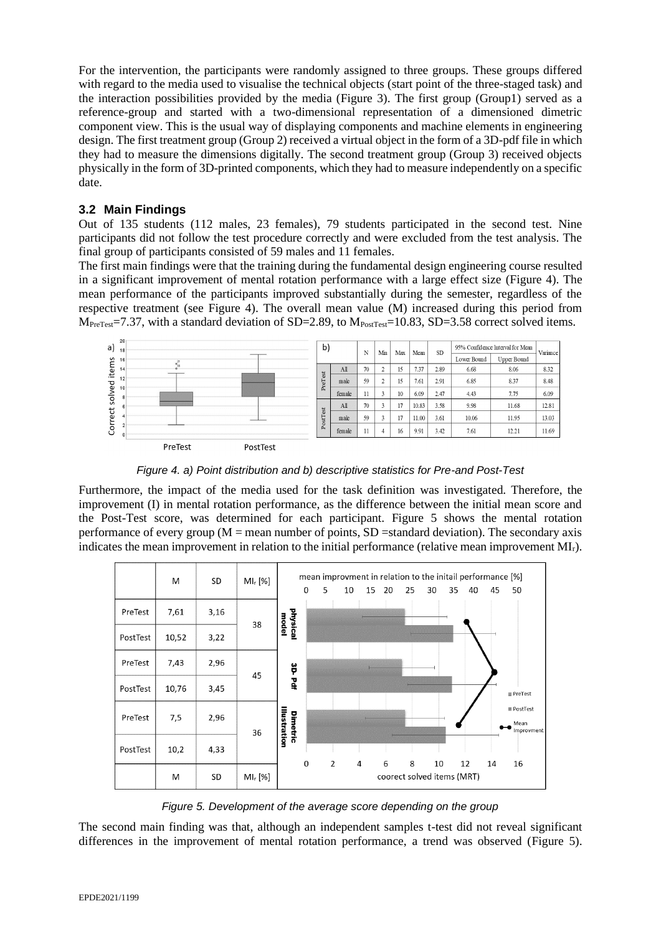For the intervention, the participants were randomly assigned to three groups. These groups differed with regard to the media used to visualise the technical objects (start point of the three-staged task) and the interaction possibilities provided by the media [\(Figure 3\)](#page-2-1). The first group (Group1) served as a reference-group and started with a two-dimensional representation of a dimensioned dimetric component view. This is the usual way of displaying components and machine elements in engineering design. The first treatment group (Group 2) received a virtual object in the form of a 3D-pdf file in which they had to measure the dimensions digitally. The second treatment group (Group 3) received objects physically in the form of 3D-printed components, which they had to measure independently on a specific date.

### **3.2 Main Findings**

Out of 135 students (112 males, 23 females), 79 students participated in the second test. Nine participants did not follow the test procedure correctly and were excluded from the test analysis. The final group of participants consisted of 59 males and 11 females.

The first main findings were that the training during the fundamental design engineering course resulted in a significant improvement of mental rotation performance with a large effect size [\(Figure 4\)](#page-3-0). The mean performance of the participants improved substantially during the semester, regardless of the respective treatment (see [Figure 4\)](#page-3-0). The overall mean value (M) increased during this period from M<sub>PreTest</sub>=7.37, with a standard deviation of SD=2.89, to M<sub>PostTest</sub>=10.83, SD=3.58 correct solved items.



*Figure 4. a) Point distribution and b) descriptive statistics for Pre-and Post-Test*

<span id="page-3-0"></span>Furthermore, the impact of the media used for the task definition was investigated. Therefore, the improvement (I) in mental rotation performance, as the difference between the initial mean score and the Post-Test score, was determined for each participant. [Figure 5](#page-3-1) shows the mental rotation performance of every group  $(M = \text{mean number of points}, SD = \text{standard deviation})$ . The secondary axis indicates the mean improvement in relation to the initial performance (relative mean improvement  $M_{\text{I}}$ ).



*Figure 5. Development of the average score depending on the group*

<span id="page-3-1"></span>The second main finding was that, although an independent samples t-test did not reveal significant differences in the improvement of mental rotation performance, a trend was observed [\(Figure 5\)](#page-3-1).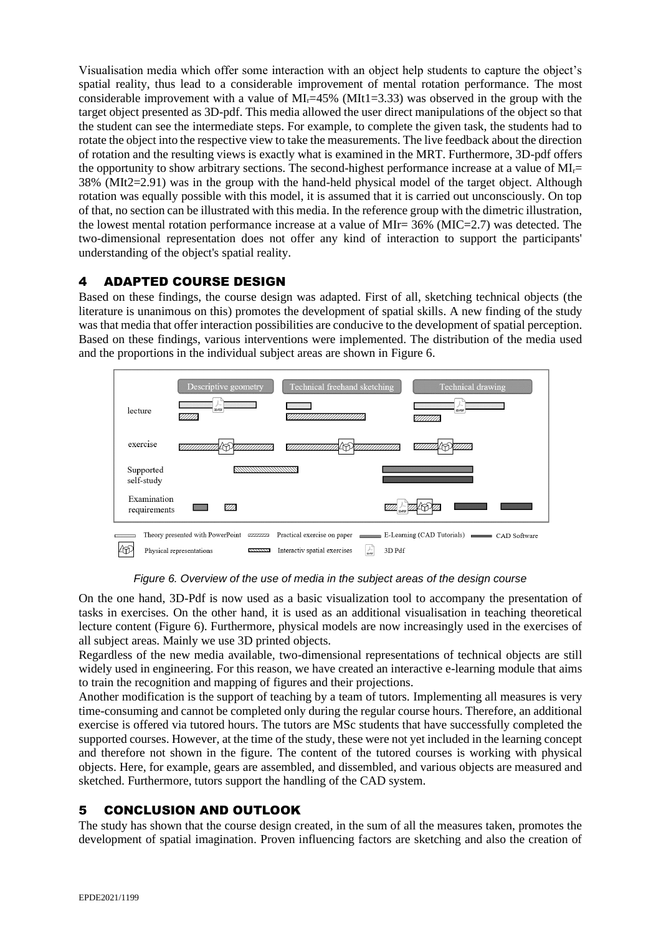Visualisation media which offer some interaction with an object help students to capture the object's spatial reality, thus lead to a considerable improvement of mental rotation performance. The most considerable improvement with a value of  $\text{MI}_{r}=45\%$  (MIt1=3.33) was observed in the group with the target object presented as 3D-pdf. This media allowed the user direct manipulations of the object so that the student can see the intermediate steps. For example, to complete the given task, the students had to rotate the object into the respective view to take the measurements. The live feedback about the direction of rotation and the resulting views is exactly what is examined in the MRT. Furthermore, 3D-pdf offers the opportunity to show arbitrary sections. The second-highest performance increase at a value of  $\text{MI}_{r}$ = 38% (MIt2=2.91) was in the group with the hand-held physical model of the target object. Although rotation was equally possible with this model, it is assumed that it is carried out unconsciously. On top of that, no section can be illustrated with this media. In the reference group with the dimetric illustration, the lowest mental rotation performance increase at a value of MIr= 36% (MIC=2.7) was detected. The two-dimensional representation does not offer any kind of interaction to support the participants' understanding of the object's spatial reality.

### 4 ADAPTED COURSE DESIGN

Based on these findings, the course design was adapted. First of all, sketching technical objects (the literature is unanimous on this) promotes the development of spatial skills. A new finding of the study was that media that offer interaction possibilities are conducive to the development of spatial perception. Based on these findings, various interventions were implemented. The distribution of the media used and the proportions in the individual subject areas are shown in [Figure 6.](#page-4-0)



*Figure 6. Overview of the use of media in the subject areas of the design course*

<span id="page-4-0"></span>On the one hand, 3D-Pdf is now used as a basic visualization tool to accompany the presentation of tasks in exercises. On the other hand, it is used as an additional visualisation in teaching theoretical lecture content [\(Figure 6\)](#page-4-0). Furthermore, physical models are now increasingly used in the exercises of all subject areas. Mainly we use 3D printed objects.

Regardless of the new media available, two-dimensional representations of technical objects are still widely used in engineering. For this reason, we have created an interactive e-learning module that aims to train the recognition and mapping of figures and their projections.

Another modification is the support of teaching by a team of tutors. Implementing all measures is very time-consuming and cannot be completed only during the regular course hours. Therefore, an additional exercise is offered via tutored hours. The tutors are MSc students that have successfully completed the supported courses. However, at the time of the study, these were not yet included in the learning concept and therefore not shown in the figure. The content of the tutored courses is working with physical objects. Here, for example, gears are assembled, and dissembled, and various objects are measured and sketched. Furthermore, tutors support the handling of the CAD system.

# 5 CONCLUSION AND OUTLOOK

The study has shown that the course design created, in the sum of all the measures taken, promotes the development of spatial imagination. Proven influencing factors are sketching and also the creation of